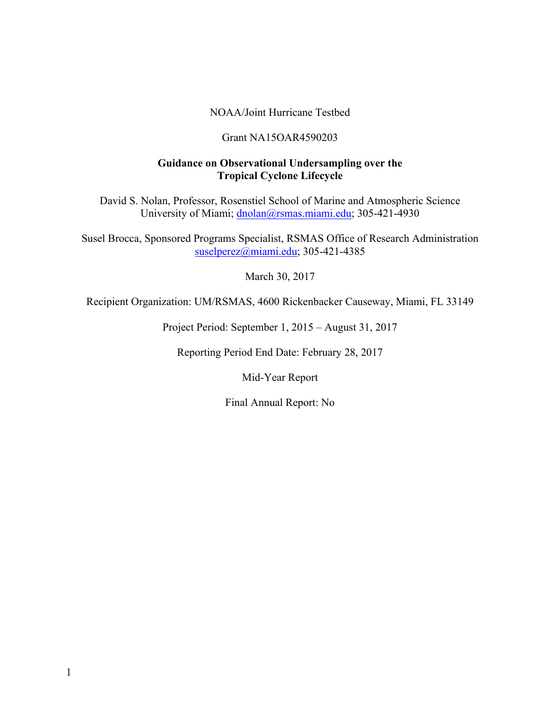#### NOAA/Joint Hurricane Testbed

#### Grant NA15OAR4590203

### **Guidance on Observational Undersampling over the Tropical Cyclone Lifecycle**

David S. Nolan, Professor, Rosenstiel School of Marine and Atmospheric Science University of Miami; dnolan@rsmas.miami.edu; 305-421-4930

Susel Brocca, Sponsored Programs Specialist, RSMAS Office of Research Administration suselperez@miami.edu; 305-421-4385

March 30, 2017

Recipient Organization: UM/RSMAS, 4600 Rickenbacker Causeway, Miami, FL 33149

Project Period: September 1, 2015 – August 31, 2017

Reporting Period End Date: February 28, 2017

Mid-Year Report

Final Annual Report: No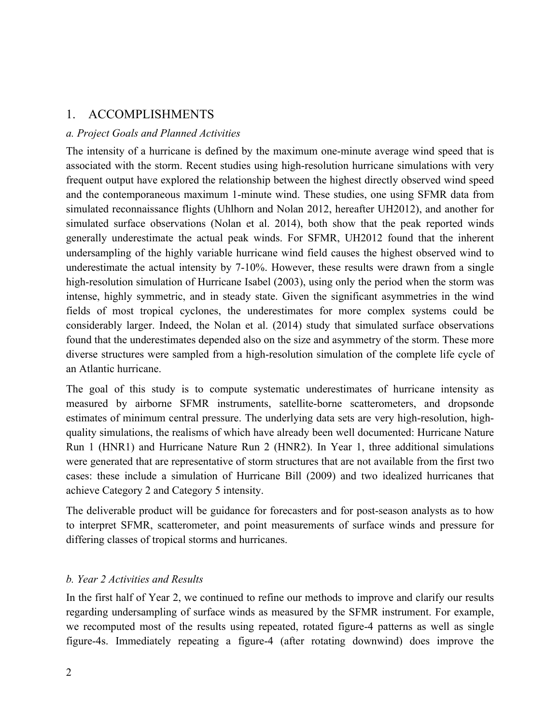## 1. ACCOMPLISHMENTS

### *a. Project Goals and Planned Activities*

The intensity of a hurricane is defined by the maximum one-minute average wind speed that is associated with the storm. Recent studies using high-resolution hurricane simulations with very frequent output have explored the relationship between the highest directly observed wind speed and the contemporaneous maximum 1-minute wind. These studies, one using SFMR data from simulated reconnaissance flights (Uhlhorn and Nolan 2012, hereafter UH2012), and another for simulated surface observations (Nolan et al. 2014), both show that the peak reported winds generally underestimate the actual peak winds. For SFMR, UH2012 found that the inherent undersampling of the highly variable hurricane wind field causes the highest observed wind to underestimate the actual intensity by 7-10%. However, these results were drawn from a single high-resolution simulation of Hurricane Isabel (2003), using only the period when the storm was intense, highly symmetric, and in steady state. Given the significant asymmetries in the wind fields of most tropical cyclones, the underestimates for more complex systems could be considerably larger. Indeed, the Nolan et al. (2014) study that simulated surface observations found that the underestimates depended also on the size and asymmetry of the storm. These more diverse structures were sampled from a high-resolution simulation of the complete life cycle of an Atlantic hurricane.

The goal of this study is to compute systematic underestimates of hurricane intensity as measured by airborne SFMR instruments, satellite-borne scatterometers, and dropsonde estimates of minimum central pressure. The underlying data sets are very high-resolution, highquality simulations, the realisms of which have already been well documented: Hurricane Nature Run 1 (HNR1) and Hurricane Nature Run 2 (HNR2). In Year 1, three additional simulations were generated that are representative of storm structures that are not available from the first two cases: these include a simulation of Hurricane Bill (2009) and two idealized hurricanes that achieve Category 2 and Category 5 intensity.

The deliverable product will be guidance for forecasters and for post-season analysts as to how to interpret SFMR, scatterometer, and point measurements of surface winds and pressure for differing classes of tropical storms and hurricanes.

### *b. Year 2 Activities and Results*

In the first half of Year 2, we continued to refine our methods to improve and clarify our results regarding undersampling of surface winds as measured by the SFMR instrument. For example, we recomputed most of the results using repeated, rotated figure-4 patterns as well as single figure-4s. Immediately repeating a figure-4 (after rotating downwind) does improve the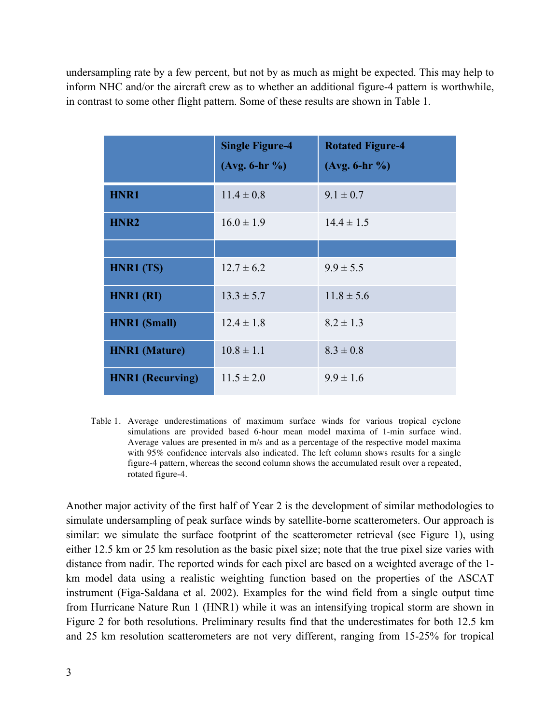undersampling rate by a few percent, but not by as much as might be expected. This may help to inform NHC and/or the aircraft crew as to whether an additional figure-4 pattern is worthwhile, in contrast to some other flight pattern. Some of these results are shown in Table 1.

|                         | <b>Single Figure-4</b><br>$(Avg. 6-hr %)$ | <b>Rotated Figure-4</b><br>$(Avg. 6-hr %)$ |
|-------------------------|-------------------------------------------|--------------------------------------------|
| HNR1                    | $11.4 \pm 0.8$                            | $9.1 \pm 0.7$                              |
| HNR <sub>2</sub>        | $16.0 \pm 1.9$                            | $14.4 \pm 1.5$                             |
|                         |                                           |                                            |
| HNR1 (TS)               | $12.7 \pm 6.2$                            | $9.9 \pm 5.5$                              |
| HNR1 (RI)               | $13.3 \pm 5.7$                            | $11.8 \pm 5.6$                             |
| <b>HNR1</b> (Small)     | $12.4 \pm 1.8$                            | $8.2 \pm 1.3$                              |
| <b>HNR1</b> (Mature)    | $10.8 \pm 1.1$                            | $8.3 \pm 0.8$                              |
| <b>HNR1</b> (Recurving) | $11.5 \pm 2.0$                            | $9.9 \pm 1.6$                              |

Table 1. Average underestimations of maximum surface winds for various tropical cyclone simulations are provided based 6-hour mean model maxima of 1-min surface wind. Average values are presented in m/s and as a percentage of the respective model maxima with 95% confidence intervals also indicated. The left column shows results for a single figure-4 pattern, whereas the second column shows the accumulated result over a repeated, rotated figure-4.

Another major activity of the first half of Year 2 is the development of similar methodologies to simulate undersampling of peak surface winds by satellite-borne scatterometers. Our approach is similar: we simulate the surface footprint of the scatterometer retrieval (see Figure 1), using either 12.5 km or 25 km resolution as the basic pixel size; note that the true pixel size varies with distance from nadir. The reported winds for each pixel are based on a weighted average of the 1 km model data using a realistic weighting function based on the properties of the ASCAT instrument (Figa-Saldana et al. 2002). Examples for the wind field from a single output time from Hurricane Nature Run 1 (HNR1) while it was an intensifying tropical storm are shown in Figure 2 for both resolutions. Preliminary results find that the underestimates for both 12.5 km and 25 km resolution scatterometers are not very different, ranging from 15-25% for tropical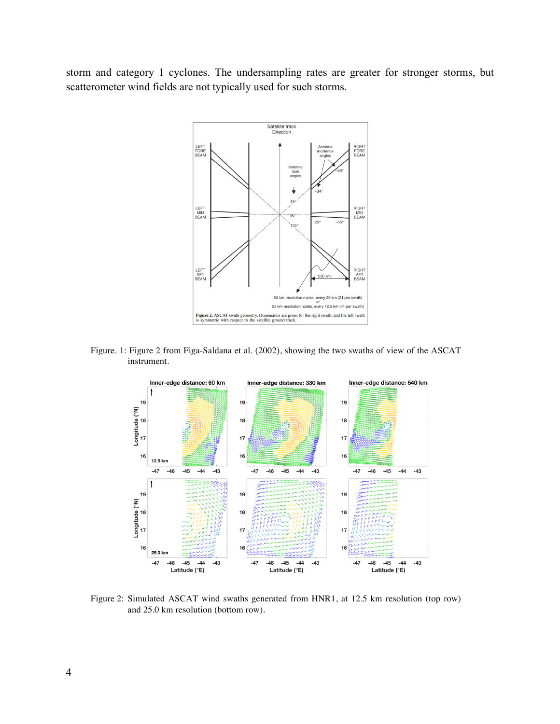storm and category 1 cyclones. The undersampling rates are greater for stronger storms, but scatterometer wind fields are not typically used for such storms.



Figure. 1: Figure 2 from Figa-Saldana et al. (2002), showing the two swaths of view of the ASCAT instrument.



Figure 2: Simulated ASCAT wind swaths generated from HNR1, at 12.5 km resolution (top row) and 25.0 km resolution (bottom row).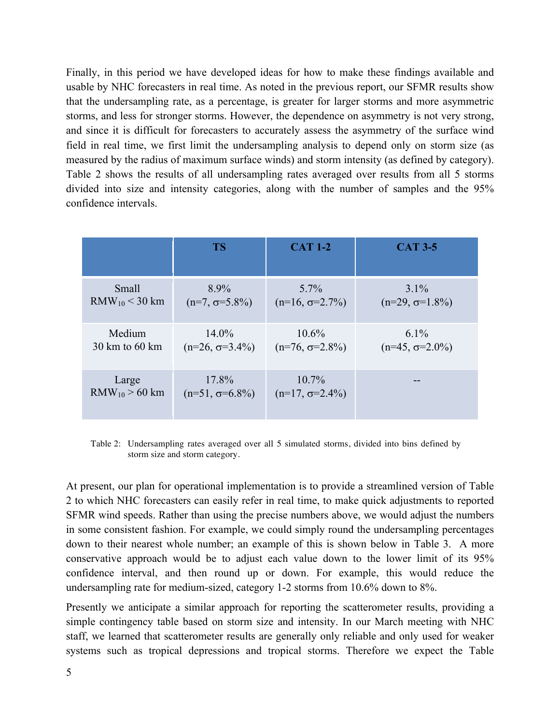Finally, in this period we have developed ideas for how to make these findings available and usable by NHC forecasters in real time. As noted in the previous report, our SFMR results show that the undersampling rate, as a percentage, is greater for larger storms and more asymmetric storms, and less for stronger storms. However, the dependence on asymmetry is not very strong, and since it is difficult for forecasters to accurately assess the asymmetry of the surface wind field in real time, we first limit the undersampling analysis to depend only on storm size (as measured by the radius of maximum surface winds) and storm intensity (as defined by category). Table 2 shows the results of all undersampling rates averaged over results from all 5 storms divided into size and intensity categories, along with the number of samples and the 95% confidence intervals.

|                          | <b>TS</b>              | <b>CAT 1-2</b>         | <b>CAT 3-5</b>         |
|--------------------------|------------------------|------------------------|------------------------|
| Small                    | $8.9\%$                | $5.7\%$                | $3.1\%$                |
| $RMW_{10}$ < 30 km       | $(n=7, \sigma=5.8\%)$  | $(n=16, \sigma=2.7\%)$ | $(n=29, \sigma=1.8\%)$ |
| Medium                   | $14.0\%$               | $10.6\%$               | $6.1\%$                |
| $30 \text{ km}$ to 60 km | $(n=26, \sigma=3.4\%)$ | $(n=76, \sigma=2.8\%)$ | $(n=45, \sigma=2.0\%)$ |
| Large                    | 17.8%                  | $10.7\%$               |                        |
| $RMW_{10}$ > 60 km       | $(n=51, \sigma=6.8\%)$ | $(n=17, \sigma=2.4\%)$ |                        |

Table 2: Undersampling rates averaged over all 5 simulated storms, divided into bins defined by storm size and storm category.

At present, our plan for operational implementation is to provide a streamlined version of Table 2 to which NHC forecasters can easily refer in real time, to make quick adjustments to reported SFMR wind speeds. Rather than using the precise numbers above, we would adjust the numbers in some consistent fashion. For example, we could simply round the undersampling percentages down to their nearest whole number; an example of this is shown below in Table 3. A more conservative approach would be to adjust each value down to the lower limit of its 95% confidence interval, and then round up or down. For example, this would reduce the undersampling rate for medium-sized, category 1-2 storms from 10.6% down to 8%.

Presently we anticipate a similar approach for reporting the scatterometer results, providing a simple contingency table based on storm size and intensity. In our March meeting with NHC staff, we learned that scatterometer results are generally only reliable and only used for weaker systems such as tropical depressions and tropical storms. Therefore we expect the Table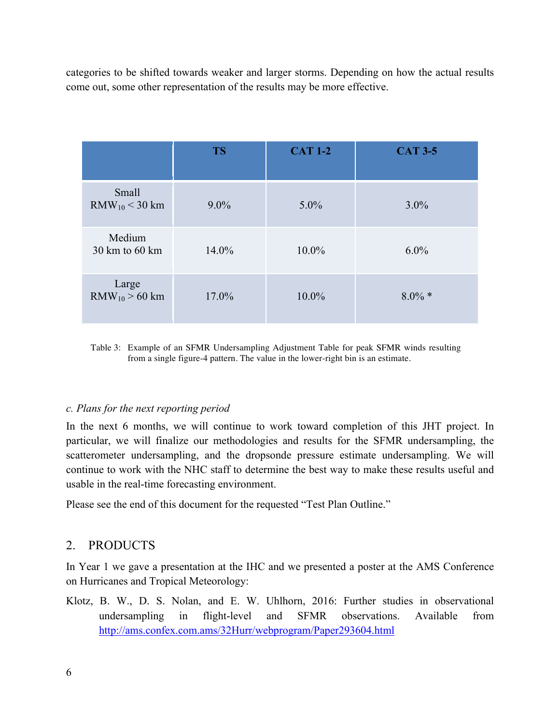categories to be shifted towards weaker and larger storms. Depending on how the actual results come out, some other representation of the results may be more effective.

|                                    | <b>TS</b> | <b>CAT 1-2</b> | <b>CAT 3-5</b> |
|------------------------------------|-----------|----------------|----------------|
| Small<br>$RMW_{10}$ < 30 km        | $9.0\%$   | $5.0\%$        | $3.0\%$        |
| Medium<br>$30 \text{ km}$ to 60 km | 14.0%     | $10.0\%$       | $6.0\%$        |
| Large<br>$RMW_{10}$ > 60 km        | 17.0%     | $10.0\%$       | $8.0\% *$      |

Table 3: Example of an SFMR Undersampling Adjustment Table for peak SFMR winds resulting from a single figure-4 pattern. The value in the lower-right bin is an estimate.

### *c. Plans for the next reporting period*

In the next 6 months, we will continue to work toward completion of this JHT project. In particular, we will finalize our methodologies and results for the SFMR undersampling, the scatterometer undersampling, and the dropsonde pressure estimate undersampling. We will continue to work with the NHC staff to determine the best way to make these results useful and usable in the real-time forecasting environment.

Please see the end of this document for the requested "Test Plan Outline."

## 2. PRODUCTS

In Year 1 we gave a presentation at the IHC and we presented a poster at the AMS Conference on Hurricanes and Tropical Meteorology:

Klotz, B. W., D. S. Nolan, and E. W. Uhlhorn, 2016: Further studies in observational undersampling in flight-level and SFMR observations. Available from http://ams.confex.com.ams/32Hurr/webprogram/Paper293604.html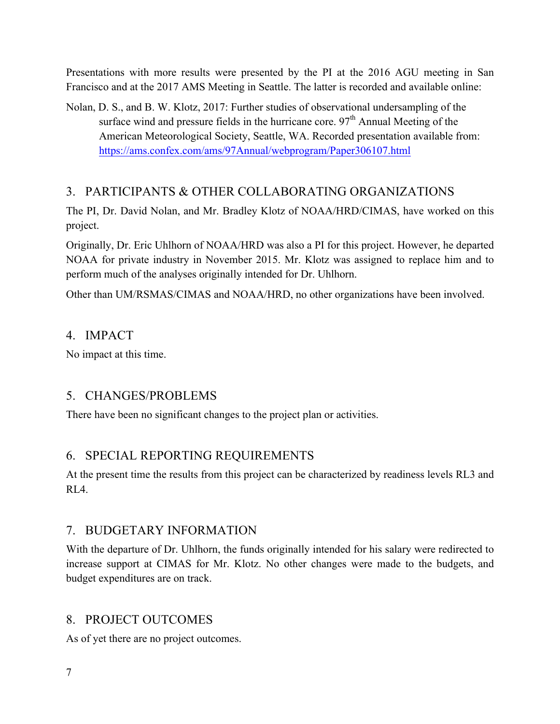Presentations with more results were presented by the PI at the 2016 AGU meeting in San Francisco and at the 2017 AMS Meeting in Seattle. The latter is recorded and available online:

Nolan, D. S., and B. W. Klotz, 2017: Further studies of observational undersampling of the surface wind and pressure fields in the hurricane core.  $97<sup>th</sup>$  Annual Meeting of the American Meteorological Society, Seattle, WA. Recorded presentation available from: https://ams.confex.com/ams/97Annual/webprogram/Paper306107.html

# 3. PARTICIPANTS & OTHER COLLABORATING ORGANIZATIONS

The PI, Dr. David Nolan, and Mr. Bradley Klotz of NOAA/HRD/CIMAS, have worked on this project.

Originally, Dr. Eric Uhlhorn of NOAA/HRD was also a PI for this project. However, he departed NOAA for private industry in November 2015. Mr. Klotz was assigned to replace him and to perform much of the analyses originally intended for Dr. Uhlhorn.

Other than UM/RSMAS/CIMAS and NOAA/HRD, no other organizations have been involved.

# 4. IMPACT

No impact at this time.

# 5. CHANGES/PROBLEMS

There have been no significant changes to the project plan or activities.

# 6. SPECIAL REPORTING REQUIREMENTS

At the present time the results from this project can be characterized by readiness levels RL3 and  $RIA$ 

# 7. BUDGETARY INFORMATION

With the departure of Dr. Uhlhorn, the funds originally intended for his salary were redirected to increase support at CIMAS for Mr. Klotz. No other changes were made to the budgets, and budget expenditures are on track.

# 8. PROJECT OUTCOMES

As of yet there are no project outcomes.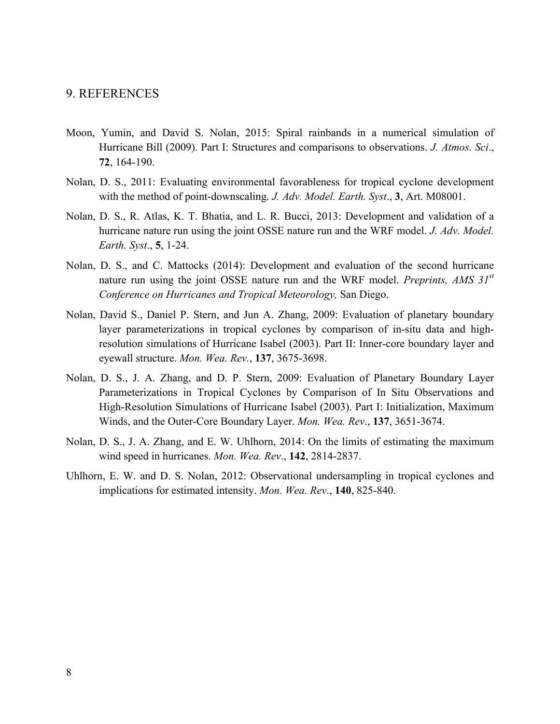### 9. REFERENCES

- Moon, Yumin, and David S. Nolan, 2015: Spiral rainbands in a numerical simulation of Hurricane Bill (2009). Part I: Structures and comparisons to observations. *J. Atmos. Sci*., **72**, 164-190.
- Nolan, D. S., 2011: Evaluating environmental favorableness for tropical cyclone development with the method of point-downscaling. *J. Adv. Model. Earth. Syst*., **3**, Art. M08001.
- Nolan, D. S., R. Atlas, K. T. Bhatia, and L. R. Bucci, 2013: Development and validation of a hurricane nature run using the joint OSSE nature run and the WRF model. *J. Adv. Model. Earth. Syst*., **5**, 1-24.
- Nolan, D. S., and C. Mattocks (2014): Development and evaluation of the second hurricane nature run using the joint OSSE nature run and the WRF model. *Preprints, AMS 31st Conference on Hurricanes and Tropical Meteorology,* San Diego.
- Nolan, David S., Daniel P. Stern, and Jun A. Zhang, 2009: Evaluation of planetary boundary layer parameterizations in tropical cyclones by comparison of in-situ data and highresolution simulations of Hurricane Isabel (2003). Part II: Inner-core boundary layer and eyewall structure. *Mon. Wea. Rev.*, **137**, 3675-3698.
- Nolan, D. S., J. A. Zhang, and D. P. Stern, 2009: Evaluation of Planetary Boundary Layer Parameterizations in Tropical Cyclones by Comparison of In Situ Observations and High-Resolution Simulations of Hurricane Isabel (2003). Part I: Initialization, Maximum Winds, and the Outer-Core Boundary Layer. *Mon. Wea. Rev*., **137**, 3651-3674.
- Nolan, D. S., J. A. Zhang, and E. W. Uhlhorn, 2014: On the limits of estimating the maximum wind speed in hurricanes. *Mon. Wea. Rev*., **142**, 2814-2837.
- Uhlhorn, E. W. and D. S. Nolan, 2012: Observational undersampling in tropical cyclones and implications for estimated intensity. *Mon. Wea. Rev*., **140**, 825-840.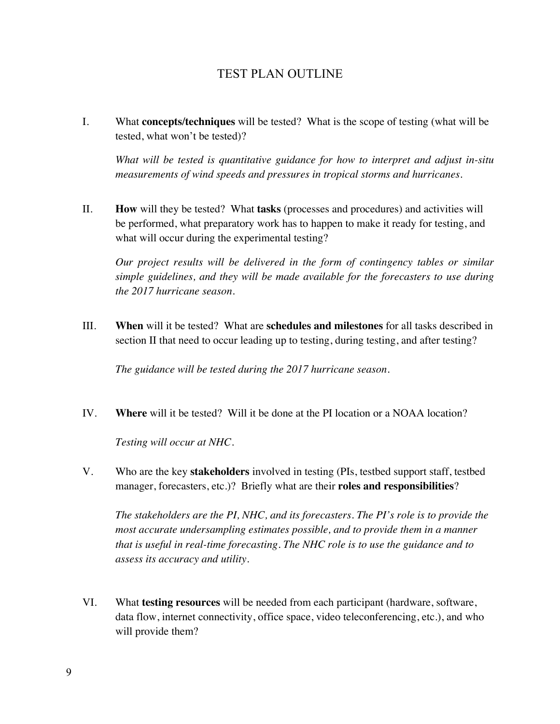## TEST PLAN OUTLINE

I. What **concepts/techniques** will be tested? What is the scope of testing (what will be tested, what won't be tested)?

*What will be tested is quantitative guidance for how to interpret and adjust in-situ measurements of wind speeds and pressures in tropical storms and hurricanes.* 

II. **How** will they be tested? What **tasks** (processes and procedures) and activities will be performed, what preparatory work has to happen to make it ready for testing, and what will occur during the experimental testing?

*Our project results will be delivered in the form of contingency tables or similar simple guidelines, and they will be made available for the forecasters to use during the 2017 hurricane season.*

III. **When** will it be tested? What are **schedules and milestones** for all tasks described in section II that need to occur leading up to testing, during testing, and after testing?

*The guidance will be tested during the 2017 hurricane season.*

IV. **Where** will it be tested? Will it be done at the PI location or a NOAA location?

*Testing will occur at NHC.*

V. Who are the key **stakeholders** involved in testing (PIs, testbed support staff, testbed manager, forecasters, etc.)? Briefly what are their **roles and responsibilities**?

*The stakeholders are the PI, NHC, and its forecasters. The PI's role is to provide the most accurate undersampling estimates possible, and to provide them in a manner that is useful in real-time forecasting. The NHC role is to use the guidance and to assess its accuracy and utility.*

VI. What **testing resources** will be needed from each participant (hardware, software, data flow, internet connectivity, office space, video teleconferencing, etc.), and who will provide them?